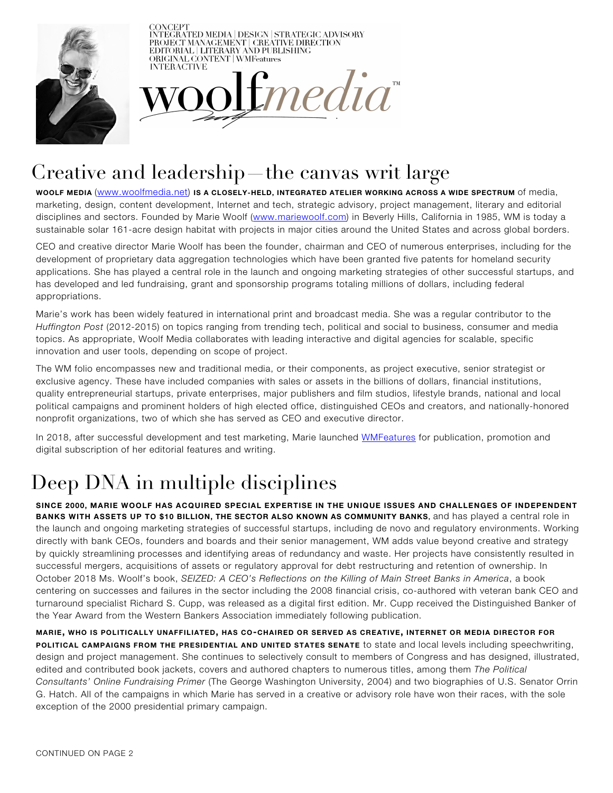

**CONCEPT** INTEGRATED MEDIA | DESIGN | STRATEGIC ADVISORY<br>PROJECT MANAGEMENT | CREATIVE DIRECTION<br>EDITORIAL | LITERARY AND PUBLISHING ORIGINAL CONTENT | WMFeatures **INTERACTIVE** 



## Creative and leadership—the canvas writ large

WOOLF MEDIA (www.woolfmedia.net) IS A CLOSELY-HELD, INTEGRATED ATELIER WORKING ACROSS A WIDE SPECTRUM of media, marketing, design, content development, Internet and tech, strategic advisory, project management, literary and editorial disciplines and sectors. Founded by Marie Woolf (www.mariewoolf.com) in Beverly Hills, California in 1985, WM is today a sustainable solar 161-acre design habitat with projects in major cities around the United States and across global borders.

CEO and creative director Marie Woolf has been the founder, chairman and CEO of numerous enterprises, including for the development of proprietary data aggregation technologies which have been granted five patents for homeland security applications. She has played a central role in the launch and ongoing marketing strategies of other successful startups, and has developed and led fundraising, grant and sponsorship programs totaling millions of dollars, including federal appropriations.

Marie's work has been widely featured in international print and broadcast media. She was a regular contributor to the *Huffington Post* (2012-2015) on topics ranging from trending tech, political and social to business, consumer and media topics. As appropriate, Woolf Media collaborates with leading interactive and digital agencies for scalable, specific innovation and user tools, depending on scope of project.

The WM folio encompasses new and traditional media, or their components, as project executive, senior strategist or exclusive agency. These have included companies with sales or assets in the billions of dollars, financial institutions, quality entrepreneurial startups, private enterprises, major publishers and film studios, lifestyle brands, national and local political campaigns and prominent holders of high elected office, distinguished CEOs and creators, and nationally-honored nonprofit organizations, two of which she has served as CEO and executive director.

In 2018, after successful development and test marketing, Marie launched WMFeatures for publication, promotion and digital subscription of her editorial features and writing.

## Deep DNA in multiple disciplines

SINCE 2000, MARIE WOOLF HAS ACQUIRED SPECIAL EXPERTISE IN THE UNIQUE ISSUES AND CHALLENGES OF INDEPENDENT BANKS WITH ASSETS UP TO \$10 BILLION, THE SECTOR ALSO KNOWN AS COMMUNITY BANKS, and has played a central role in the launch and ongoing marketing strategies of successful startups, including de novo and regulatory environments. Working directly with bank CEOs, founders and boards and their senior management, WM adds value beyond creative and strategy by quickly streamlining processes and identifying areas of redundancy and waste. Her projects have consistently resulted in successful mergers, acquisitions of assets or regulatory approval for debt restructuring and retention of ownership. In October 2018 Ms. Woolf's book, *SEIZED: A CEO's Reflections on the Killing of Main Street Banks in America*, a book centering on successes and failures in the sector including the 2008 financial crisis, co-authored with veteran bank CEO and turnaround specialist Richard S. Cupp, was released as a digital first edition. Mr. Cupp received the Distinguished Banker of the Year Award from the Western Bankers Association immediately following publication.

MARIE, WHO IS POLITICALLY UNAFFILIATED, HAS CO-CHAIRED OR SERVED AS CREATIVE, INTERNET OR MEDIA DIRECTOR FOR POLITICAL CAMPAIGNS FROM THE PRESIDENTIAL AND UNITED STATES SENATE to state and local levels including speechwriting, design and project management. She continues to selectively consult to members of Congress and has designed, illustrated, edited and contributed book jackets, covers and authored chapters to numerous titles, among them *The Political Consultants' Online Fundraising Primer* (The George Washington University, 2004) and two biographies of U.S. Senator Orrin G. Hatch. All of the campaigns in which Marie has served in a creative or advisory role have won their races, with the sole exception of the 2000 presidential primary campaign.